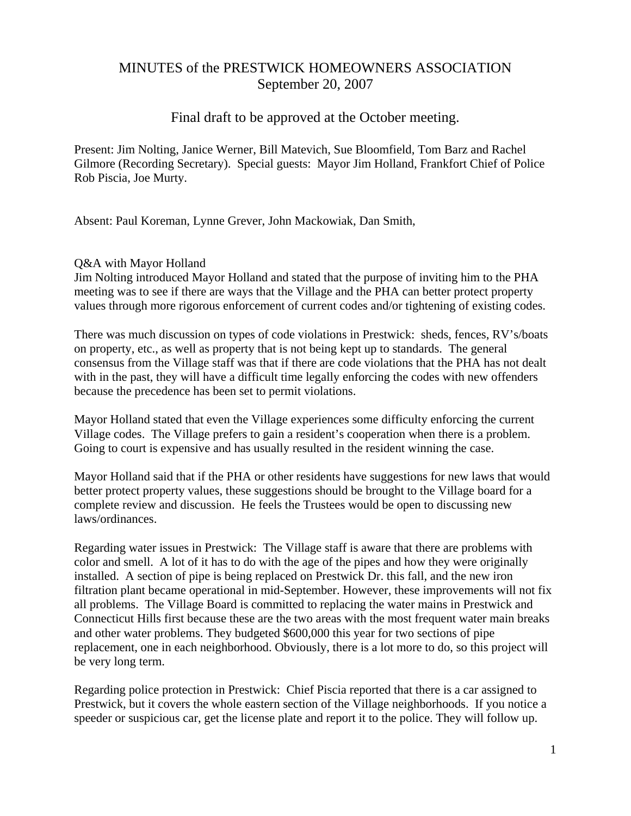# MINUTES of the PRESTWICK HOMEOWNERS ASSOCIATION September 20, 2007

# Final draft to be approved at the October meeting.

Present: Jim Nolting, Janice Werner, Bill Matevich, Sue Bloomfield, Tom Barz and Rachel Gilmore (Recording Secretary). Special guests: Mayor Jim Holland, Frankfort Chief of Police Rob Piscia, Joe Murty.

Absent: Paul Koreman, Lynne Grever, John Mackowiak, Dan Smith,

#### Q&A with Mayor Holland

Jim Nolting introduced Mayor Holland and stated that the purpose of inviting him to the PHA meeting was to see if there are ways that the Village and the PHA can better protect property values through more rigorous enforcement of current codes and/or tightening of existing codes.

There was much discussion on types of code violations in Prestwick: sheds, fences, RV's/boats on property, etc., as well as property that is not being kept up to standards. The general consensus from the Village staff was that if there are code violations that the PHA has not dealt with in the past, they will have a difficult time legally enforcing the codes with new offenders because the precedence has been set to permit violations.

Mayor Holland stated that even the Village experiences some difficulty enforcing the current Village codes. The Village prefers to gain a resident's cooperation when there is a problem. Going to court is expensive and has usually resulted in the resident winning the case.

Mayor Holland said that if the PHA or other residents have suggestions for new laws that would better protect property values, these suggestions should be brought to the Village board for a complete review and discussion. He feels the Trustees would be open to discussing new laws/ordinances.

Regarding water issues in Prestwick: The Village staff is aware that there are problems with color and smell. A lot of it has to do with the age of the pipes and how they were originally installed. A section of pipe is being replaced on Prestwick Dr. this fall, and the new iron filtration plant became operational in mid-September. However, these improvements will not fix all problems. The Village Board is committed to replacing the water mains in Prestwick and Connecticut Hills first because these are the two areas with the most frequent water main breaks and other water problems. They budgeted \$600,000 this year for two sections of pipe replacement, one in each neighborhood. Obviously, there is a lot more to do, so this project will be very long term.

Regarding police protection in Prestwick: Chief Piscia reported that there is a car assigned to Prestwick, but it covers the whole eastern section of the Village neighborhoods. If you notice a speeder or suspicious car, get the license plate and report it to the police. They will follow up.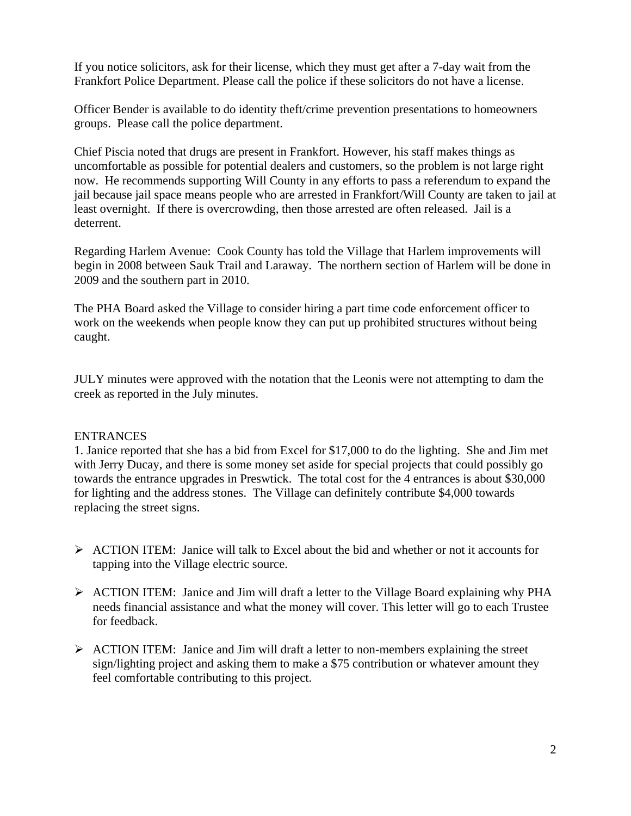If you notice solicitors, ask for their license, which they must get after a 7-day wait from the Frankfort Police Department. Please call the police if these solicitors do not have a license.

Officer Bender is available to do identity theft/crime prevention presentations to homeowners groups. Please call the police department.

Chief Piscia noted that drugs are present in Frankfort. However, his staff makes things as uncomfortable as possible for potential dealers and customers, so the problem is not large right now. He recommends supporting Will County in any efforts to pass a referendum to expand the jail because jail space means people who are arrested in Frankfort/Will County are taken to jail at least overnight. If there is overcrowding, then those arrested are often released. Jail is a deterrent.

Regarding Harlem Avenue: Cook County has told the Village that Harlem improvements will begin in 2008 between Sauk Trail and Laraway. The northern section of Harlem will be done in 2009 and the southern part in 2010.

The PHA Board asked the Village to consider hiring a part time code enforcement officer to work on the weekends when people know they can put up prohibited structures without being caught.

JULY minutes were approved with the notation that the Leonis were not attempting to dam the creek as reported in the July minutes.

#### ENTRANCES

1. Janice reported that she has a bid from Excel for \$17,000 to do the lighting. She and Jim met with Jerry Ducay, and there is some money set aside for special projects that could possibly go towards the entrance upgrades in Preswtick. The total cost for the 4 entrances is about \$30,000 for lighting and the address stones. The Village can definitely contribute \$4,000 towards replacing the street signs.

- ¾ ACTION ITEM: Janice will talk to Excel about the bid and whether or not it accounts for tapping into the Village electric source.
- $\triangleright$  ACTION ITEM: Janice and Jim will draft a letter to the Village Board explaining why PHA needs financial assistance and what the money will cover. This letter will go to each Trustee for feedback.
- $\triangleright$  ACTION ITEM: Janice and Jim will draft a letter to non-members explaining the street sign/lighting project and asking them to make a \$75 contribution or whatever amount they feel comfortable contributing to this project.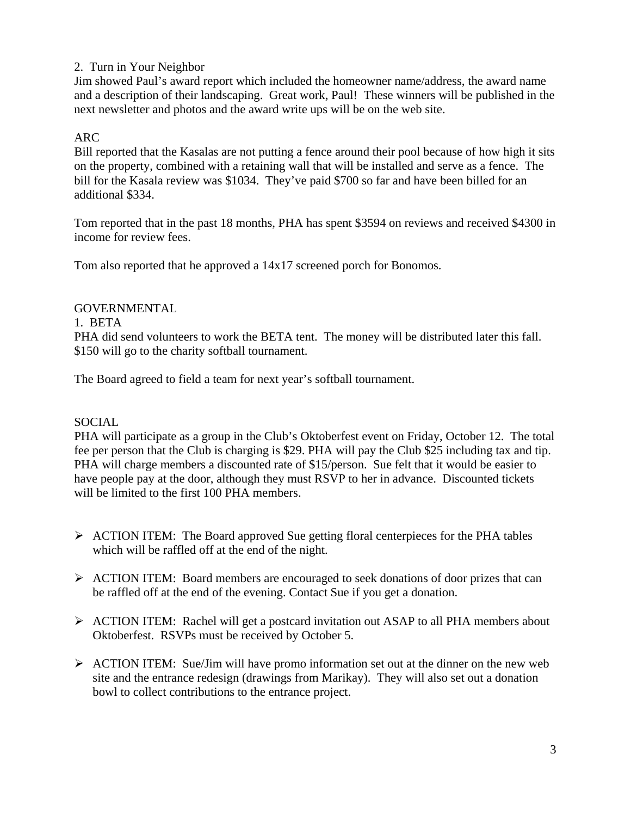# 2. Turn in Your Neighbor

Jim showed Paul's award report which included the homeowner name/address, the award name and a description of their landscaping. Great work, Paul! These winners will be published in the next newsletter and photos and the award write ups will be on the web site.

# ARC

Bill reported that the Kasalas are not putting a fence around their pool because of how high it sits on the property, combined with a retaining wall that will be installed and serve as a fence. The bill for the Kasala review was \$1034. They've paid \$700 so far and have been billed for an additional \$334.

Tom reported that in the past 18 months, PHA has spent \$3594 on reviews and received \$4300 in income for review fees.

Tom also reported that he approved a 14x17 screened porch for Bonomos.

# GOVERNMENTAL

#### 1. BETA

PHA did send volunteers to work the BETA tent. The money will be distributed later this fall. \$150 will go to the charity softball tournament.

The Board agreed to field a team for next year's softball tournament.

# SOCIAL

PHA will participate as a group in the Club's Oktoberfest event on Friday, October 12. The total fee per person that the Club is charging is \$29. PHA will pay the Club \$25 including tax and tip. PHA will charge members a discounted rate of \$15/person. Sue felt that it would be easier to have people pay at the door, although they must RSVP to her in advance. Discounted tickets will be limited to the first 100 PHA members.

- ¾ ACTION ITEM: The Board approved Sue getting floral centerpieces for the PHA tables which will be raffled off at the end of the night.
- ¾ ACTION ITEM: Board members are encouraged to seek donations of door prizes that can be raffled off at the end of the evening. Contact Sue if you get a donation.
- ¾ ACTION ITEM: Rachel will get a postcard invitation out ASAP to all PHA members about Oktoberfest. RSVPs must be received by October 5.
- $\triangleright$  ACTION ITEM: Sue/Jim will have promo information set out at the dinner on the new web site and the entrance redesign (drawings from Marikay). They will also set out a donation bowl to collect contributions to the entrance project.